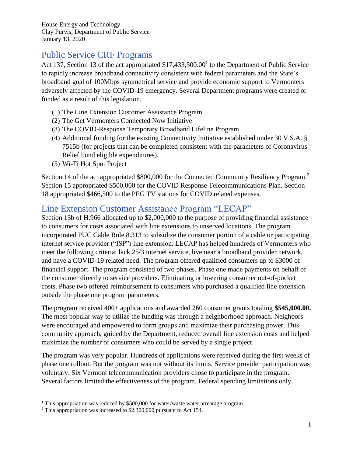House Energy and Technology Clay Purvis, Department of Public Service January 13, 2020

## Public Service CRF Programs

Act 137, Section 13 of the act appropriated  $$17,433,500.00<sup>1</sup>$  to the Department of Public Service to rapidly increase broadband connectivity consistent with federal parameters and the State's broadband goal of 100Mbps symmetrical service and provide economic support to Vermonters adversely affected by the COVID-19 emergency. Several Department programs were created or funded as a result of this legislation.

- (1) The Line Extension Customer Assistance Program.
- (2) The Get Vermonters Connected Now Initiative
- (3) The COVID-Response Temporary Broadband Lifeline Program
- (4) Additional funding for the existing Connectivity Initiative established under 30 V.S.A. § 7515b (for projects that can be completed consistent with the parameters of Coronavirus Relief Fund eligible expenditures).
- (5) Wi-Fi Hot Spot Project

Section 14 of the act appropriated \$800,000 for the Connected Community Resiliency Program.<sup>2</sup> Section 15 appropriated \$500,000 for the COVID Response Telecommunications Plan. Section 18 appropriated \$466,500 to the PEG TV stations for COVID related expenses.

### Line Extension Customer Assistance Program "LECAP"

Section 13b of H.966 allocated up to \$2,000,000 to the purpose of providing financial assistance to consumers for costs associated with line extensions to unserved locations. The program incorporated PUC Cable Rule 8.313 to subsidize the consumer portion of a cable or participating internet service provider ("ISP") line extension. LECAP has helped hundreds of Vermonters who meet the following criteria: lack 25/3 internet service, live near a broadband provider network, and have a COVID-19 related need. The program offered qualified consumers up to \$3000 of financial support. The program consisted of two phases. Phase one made payments on behalf of the consumer directly to service providers. Eliminating or lowering consumer out-of-pocket costs. Phase two offered reimbursement to consumers who purchased a qualified line extension outside the phase one program parameters.

The program received 400+ applications and awarded 260 consumer grants totaling **\$545,000.00.**  The most popular way to utilize the funding was through a neighborhood approach. Neighbors were encouraged and empowered to form groups and maximize their purchasing power. This community approach, guided by the Department, reduced overall line extension costs and helped maximize the number of consumers who could be served by a single project.

The program was very popular. Hundreds of applications were received during the first weeks of phase one rollout. But the program was not without its limits. Service provider participation was voluntary. Six Vermont telecommunication providers chose to participate in the program. Several factors limited the effectiveness of the program. Federal spending limitations only

 $1$  This appropriation was reduced by \$500,000 for water/waste water arrearage program.

<sup>&</sup>lt;sup>2</sup> This appropriation was increased to \$2,300,000 pursuant to Act 154.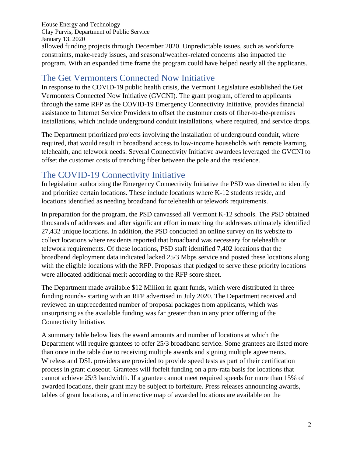House Energy and Technology Clay Purvis, Department of Public Service January 13, 2020 allowed funding projects through December 2020. Unpredictable issues, such as workforce constraints, make-ready issues, and seasonal/weather-related concerns also impacted the program. With an expanded time frame the program could have helped nearly all the applicants.

### The Get Vermonters Connected Now Initiative

In response to the COVID-19 public health crisis, the Vermont Legislature established the Get Vermonters Connected Now Initiative (GVCNI). The grant program, offered to applicants through the same RFP as the COVID-19 Emergency Connectivity Initiative, provides financial assistance to Internet Service Providers to offset the customer costs of fiber-to-the-premises installations, which include underground conduit installations, where required, and service drops.

The Department prioritized projects involving the installation of underground conduit, where required, that would result in broadband access to low-income households with remote learning, telehealth, and telework needs. Several Connectivity Initiative awardees leveraged the GVCNI to offset the customer costs of trenching fiber between the pole and the residence.

# The COVID-19 Connectivity Initiative

In legislation authorizing the Emergency Connectivity Initiative the PSD was directed to identify and prioritize certain locations. These include locations where K-12 students reside, and locations identified as needing broadband for telehealth or telework requirements.

In preparation for the program, the PSD canvassed all Vermont K-12 schools. The PSD obtained thousands of addresses and after significant effort in matching the addresses ultimately identified 27,432 unique locations. In addition, the PSD conducted an online survey on its website to collect locations where residents reported that broadband was necessary for telehealth or telework requirements. Of these locations, PSD staff identified 7,402 locations that the broadband deployment data indicated lacked 25/3 Mbps service and posted these locations along with the eligible locations with the RFP. Proposals that pledged to serve these priority locations were allocated additional merit according to the RFP score sheet.

The Department made available \$12 Million in grant funds, which were distributed in three funding rounds- starting with an RFP advertised in July 2020. The Department received and reviewed an unprecedented number of proposal packages from applicants, which was unsurprising as the available funding was far greater than in any prior offering of the Connectivity Initiative.

A summary table below lists the award amounts and number of locations at which the Department will require grantees to offer 25/3 broadband service. Some grantees are listed more than once in the table due to receiving multiple awards and signing multiple agreements. Wireless and DSL providers are provided to provide speed tests as part of their certification process in grant closeout. Grantees will forfeit funding on a pro-rata basis for locations that cannot achieve 25/3 bandwidth. If a grantee cannot meet required speeds for more than 15% of awarded locations, their grant may be subject to forfeiture. Press releases announcing awards, tables of grant locations, and interactive map of awarded locations are available on the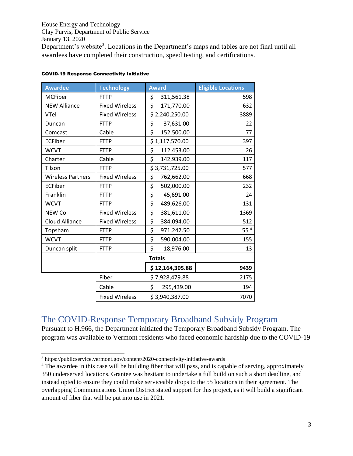House Energy and Technology Clay Purvis, Department of Public Service January 13, 2020 Department's website<sup>3</sup>. Locations in the Department's maps and tables are not final until all awardees have completed their construction, speed testing, and certifications.

| <b>Awardee</b>           | <b>Technology</b>     | <b>Award</b>     | <b>Eligible Locations</b> |
|--------------------------|-----------------------|------------------|---------------------------|
| <b>MCFiber</b>           | <b>FTTP</b>           | \$<br>311,561.38 | 598                       |
| <b>NEW Alliance</b>      | <b>Fixed Wireless</b> | \$<br>171,770.00 | 632                       |
| VTel                     | <b>Fixed Wireless</b> | \$2,240,250.00   | 3889                      |
| Duncan                   | <b>FTTP</b>           | \$<br>37,631.00  | 22                        |
| Comcast                  | Cable                 | \$<br>152,500.00 | 77                        |
| <b>ECFiber</b>           | <b>FTTP</b>           | \$1,117,570.00   | 397                       |
| <b>WCVT</b>              | <b>FTTP</b>           | \$<br>112,453.00 | 26                        |
| Charter                  | Cable                 | \$<br>142,939.00 | 117                       |
| Tilson                   | <b>FTTP</b>           | \$3,731,725.00   | 577                       |
| <b>Wireless Partners</b> | <b>Fixed Wireless</b> | \$<br>762,662.00 | 668                       |
| <b>ECFiber</b>           | <b>FTTP</b>           | \$<br>502,000.00 | 232                       |
| Franklin                 | <b>FTTP</b>           | \$<br>45,691.00  | 24                        |
| <b>WCVT</b>              | <b>FTTP</b>           | \$<br>489,626.00 | 131                       |
| NEW Co                   | <b>Fixed Wireless</b> | \$<br>381,611.00 | 1369                      |
| <b>Cloud Alliance</b>    | <b>Fixed Wireless</b> | \$<br>384,094.00 | 512                       |
| Topsham                  | <b>FTTP</b>           | \$<br>971,242.50 | 55 <sup>4</sup>           |
| <b>WCVT</b>              | <b>FTTP</b>           | \$<br>590,004.00 | 155                       |
| Duncan split             | <b>FTTP</b>           | \$<br>18,976.00  | 13                        |
|                          |                       | <b>Totals</b>    |                           |
|                          |                       | \$12,164,305.88  | 9439                      |
|                          | Fiber                 | \$7,928,479.88   | 2175                      |
|                          | Cable                 | \$<br>295,439.00 | 194                       |
|                          | <b>Fixed Wireless</b> | \$3,940,387.00   | 7070                      |

#### COVID-19 Response Connectivity Initiative

The COVID-Response Temporary Broadband Subsidy Program Pursuant to H.966, the Department initiated the Temporary Broadband Subsidy Program. The program was available to Vermont residents who faced economic hardship due to the COVID-19

<sup>3</sup> https://publicservice.vermont.gov/content/2020-connectivity-initiative-awards

<sup>&</sup>lt;sup>4</sup> The awardee in this case will be building fiber that will pass, and is capable of serving, approximately 350 underserved locations. Grantee was hesitant to undertake a full build on such a short deadline, and instead opted to ensure they could make serviceable drops to the 55 locations in their agreement. The overlapping Communications Union District stated support for this project, as it will build a significant amount of fiber that will be put into use in 2021.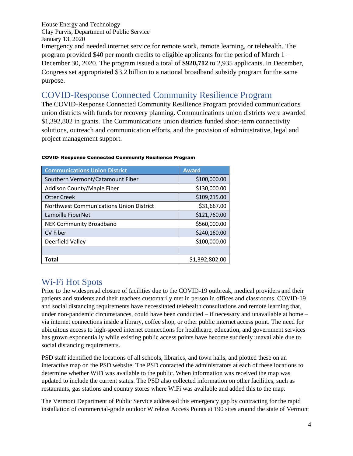House Energy and Technology Clay Purvis, Department of Public Service January 13, 2020 Emergency and needed internet service for remote work, remote learning, or telehealth. The program provided \$40 per month credits to eligible applicants for the period of March 1 – December 30, 2020. The program issued a total of **\$920,712** to 2,935 applicants. In December, Congress set appropriated \$3.2 billion to a national broadband subsidy program for the same purpose.

### COVID-Response Connected Community Resilience Program

The COVID-Response Connected Community Resilience Program provided communications union districts with funds for recovery planning. Communications union districts were awarded \$1,392,802 in grants. The Communications union districts funded short-term connectivity solutions, outreach and communication efforts, and the provision of administrative, legal and project management support.

| <b>Communications Union District</b>           | <b>Award</b>   |
|------------------------------------------------|----------------|
| Southern Vermont/Catamount Fiber               | \$100,000.00   |
| Addison County/Maple Fiber                     | \$130,000.00   |
| <b>Otter Creek</b>                             | \$109,215.00   |
| <b>Northwest Communications Union District</b> | \$31,667.00    |
| Lamoille FiberNet                              | \$121,760.00   |
| <b>NEK Community Broadband</b>                 | \$560,000.00   |
| <b>CV Fiber</b>                                | \$240,160.00   |
| Deerfield Valley                               | \$100,000.00   |
|                                                |                |
| Total                                          | \$1,392,802.00 |

#### COVID- Response Connected Community Resilience Program

### Wi-Fi Hot Spots

Prior to the widespread closure of facilities due to the COVID-19 outbreak, medical providers and their patients and students and their teachers customarily met in person in offices and classrooms. COVID-19 and social distancing requirements have necessitated telehealth consultations and remote learning that, under non-pandemic circumstances, could have been conducted – if necessary and unavailable at home – via internet connections inside a library, coffee shop, or other public internet access point. The need for ubiquitous access to high-speed internet connections for healthcare, education, and government services has grown exponentially while existing public access points have become suddenly unavailable due to social distancing requirements.

PSD staff identified the locations of all schools, libraries, and town halls, and plotted these on an interactive map on the PSD website. The PSD contacted the administrators at each of these locations to determine whether WiFi was available to the public. When information was received the map was updated to include the current status. The PSD also collected information on other facilities, such as restaurants, gas stations and country stores where WiFi was available and added this to the map.

The Vermont Department of Public Service addressed this emergency gap by contracting for the rapid installation of commercial-grade outdoor Wireless Access Points at 190 sites around the state of Vermont